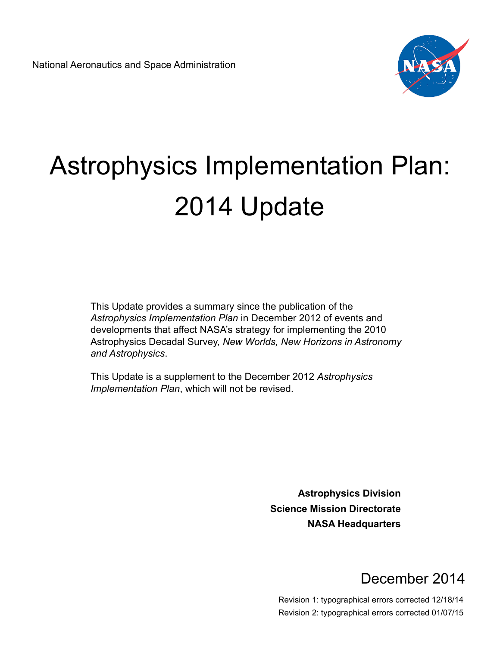

# Astrophysics Implementation Plan: 2014 Update

This Update provides a summary since the publication of the *Astrophysics Implementation Plan* in December 2012 of events and developments that affect NASA's strategy for implementing the 2010 Astrophysics Decadal Survey, *New Worlds, New Horizons in Astronomy and Astrophysics*.

This Update is a supplement to the December 2012 *Astrophysics Implementation Plan*, which will not be revised.

> **Astrophysics Division Science Mission Directorate NASA Headquarters**

### December 2014

Revision 1: typographical errors corrected 12/18/14 Revision 2: typographical errors corrected 01/07/15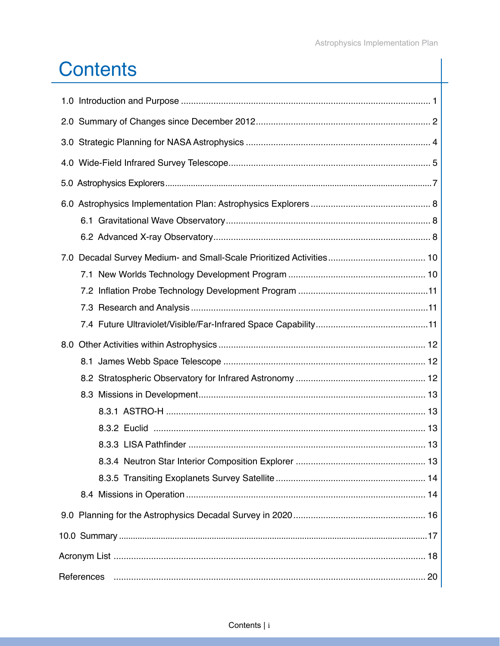# **Contents**

| 7.0              |  |  |
|------------------|--|--|
|                  |  |  |
|                  |  |  |
|                  |  |  |
|                  |  |  |
| 8.0              |  |  |
|                  |  |  |
|                  |  |  |
|                  |  |  |
|                  |  |  |
|                  |  |  |
|                  |  |  |
|                  |  |  |
|                  |  |  |
|                  |  |  |
|                  |  |  |
|                  |  |  |
|                  |  |  |
| References<br>20 |  |  |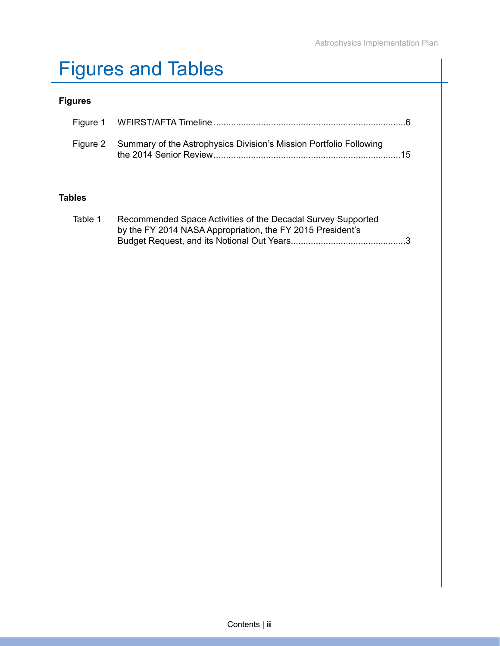# Figures and Tables

#### **Figures**

| Figure 2 Summary of the Astrophysics Division's Mission Portfolio Following<br>15 |
|-----------------------------------------------------------------------------------|

#### **Tables**

| Table 1 | Recommended Space Activities of the Decadal Survey Supported |
|---------|--------------------------------------------------------------|
|         | by the FY 2014 NASA Appropriation, the FY 2015 President's   |
|         |                                                              |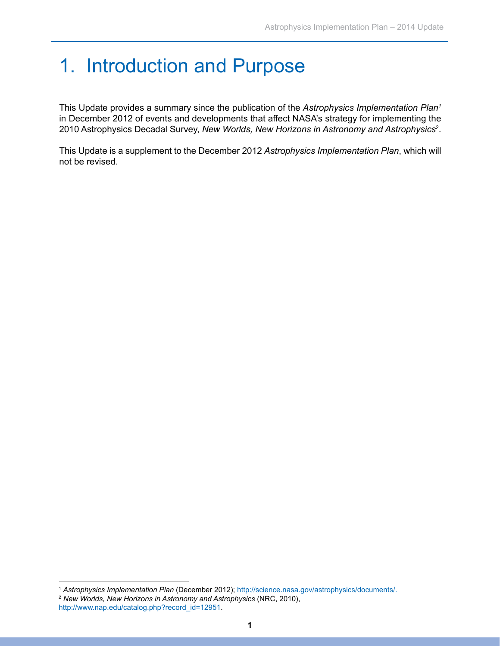### 1. Introduction and Purpose

This Update provides a summary since the publication of the *Astrophysics Implementation Plan1*  in December 2012 of events and developments that affect NASA's strategy for implementing the 2010 Astrophysics Decadal Survey, *New Worlds, New Horizons in Astronomy and Astrophysics*<sup>2</sup> .

This Update is a supplement to the December 2012 *Astrophysics Implementation Plan*, which will not be revised.

<sup>1</sup> *Astrophysics Implementation Plan* (December 2012); <http://science.nasa.gov/astrophysics/documents/>.

<sup>2</sup> *New Worlds, New Horizons in Astronomy and Astrophysics* (NRC, 2010), [http://www.nap.edu/catalog.php?record\\_id=12951](http://www.nap.edu/catalog.php?record_id=12951).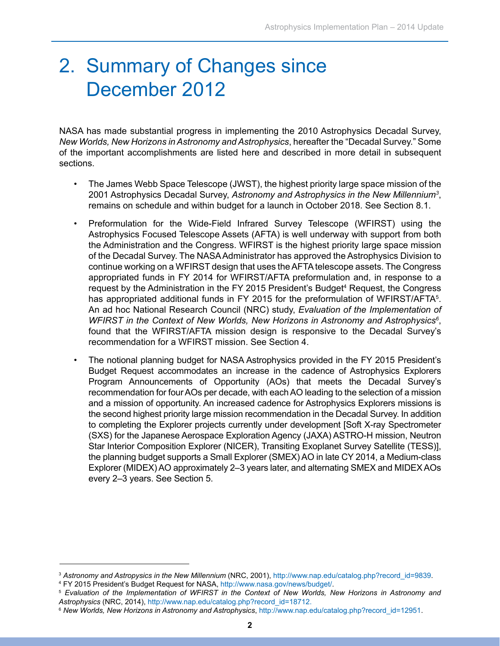### 2. Summary of Changes since December 2012

NASA has made substantial progress in implementing the 2010 Astrophysics Decadal Survey, *New Worlds, New Horizons in Astronomy and Astrophysics*, hereafter the "Decadal Survey." Some of the important accomplishments are listed here and described in more detail in subsequent sections.

- The James Webb Space Telescope (JWST), the highest priority large space mission of the 2001 Astrophysics Decadal Survey, *Astronomy and Astrophysics in the New Millennium3* , remains on schedule and within budget for a launch in October 2018. See Section 8.1.
- Preformulation for the Wide-Field Infrared Survey Telescope (WFIRST) using the Astrophysics Focused Telescope Assets (AFTA) is well underway with support from both the Administration and the Congress. WFIRST is the highest priority large space mission of the Decadal Survey. The NASA Administrator has approved the Astrophysics Division to continue working on a WFIRST design that uses the AFTA telescope assets. The Congress appropriated funds in FY 2014 for WFIRST/AFTA preformulation and, in response to a request by the Administration in the FY 2015 President's Budget<sup>4</sup> Request, the Congress has appropriated additional funds in FY 2015 for the preformulation of WFIRST/AFTA<sup>5</sup>. An ad hoc National Research Council (NRC) study, *Evaluation of the Implementation of*  WFIRST in the Context of New Worlds, New Horizons in Astronomy and Astrophysics<sup>6</sup>, found that the WFIRST/AFTA mission design is responsive to the Decadal Survey's recommendation for a WFIRST mission. See Section 4.
- The notional planning budget for NASA Astrophysics provided in the FY 2015 President's Budget Request accommodates an increase in the cadence of Astrophysics Explorers Program Announcements of Opportunity (AOs) that meets the Decadal Survey's recommendation for four AOs per decade, with each AO leading to the selection of a mission and a mission of opportunity. An increased cadence for Astrophysics Explorers missions is the second highest priority large mission recommendation in the Decadal Survey. In addition to completing the Explorer projects currently under development [Soft X-ray Spectrometer (SXS) for the Japanese Aerospace Exploration Agency (JAXA) ASTRO-H mission, Neutron Star Interior Composition Explorer (NICER), Transiting Exoplanet Survey Satellite (TESS)], the planning budget supports a Small Explorer (SMEX) AO in late CY 2014, a Medium-class Explorer (MIDEX) AO approximately 2–3 years later, and alternating SMEX and MIDEX AOs every 2–3 years. See Section 5.

<sup>3</sup> *Astronomy and Astropysics in the New Millennium* (NRC, 2001), [http://www.nap.edu/catalog.php?record\\_id=9839](http://www.nap.edu/catalog.php?record_id=9839).

<sup>&</sup>lt;sup>4</sup> FY 2015 President's Budget Request for NASA, http://www.nasa.gov/news/budget/.

<sup>&</sup>lt;sup>5</sup> Evaluation of the Implementation of WFIRST in the Context of New Worlds, New Horizons in Astronomy and *Astrophysics* (NRC, 2014), [http://www.nap.edu/catalog.php?record\\_id=18712](http://www.nap.edu/catalog.php?record_id=18712).

<sup>6</sup> *New Worlds, New Horizons in Astronomy and Astrophysics*, [http://www.nap.edu/catalog.php?record\\_id=12951.](http://www.nap.edu/catalog.php?record_id=12951)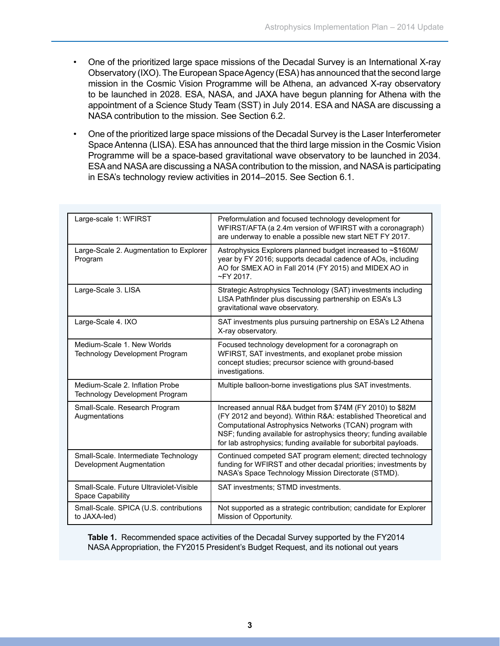- One of the prioritized large space missions of the Decadal Survey is an International X-ray Observatory (IXO). The European Space Agency (ESA) has announced that the second large mission in the Cosmic Vision Programme will be Athena, an advanced X-ray observatory to be launched in 2028. ESA, NASA, and JAXA have begun planning for Athena with the appointment of a Science Study Team (SST) in July 2014. ESA and NASA are discussing a NASA contribution to the mission. See Section 6.2.
- One of the prioritized large space missions of the Decadal Survey is the Laser Interferometer Space Antenna (LISA). ESA has announced that the third large mission in the Cosmic Vision Programme will be a space-based gravitational wave observatory to be launched in 2034. ESA and NASA are discussing a NASA contribution to the mission, and NASA is participating in ESA's technology review activities in 2014–2015. See Section 6.1.

| Large-scale 1: WFIRST                                              | Preformulation and focused technology development for<br>WFIRST/AFTA (a 2.4m version of WFIRST with a coronagraph)<br>are underway to enable a possible new start NET FY 2017.                                                                                                                                                 |
|--------------------------------------------------------------------|--------------------------------------------------------------------------------------------------------------------------------------------------------------------------------------------------------------------------------------------------------------------------------------------------------------------------------|
| Large-Scale 2. Augmentation to Explorer<br>Program                 | Astrophysics Explorers planned budget increased to ~\$160M/<br>year by FY 2016; supports decadal cadence of AOs, including<br>AO for SMEX AO in Fall 2014 (FY 2015) and MIDEX AO in<br>$\sim$ FY 2017.                                                                                                                         |
| Large-Scale 3. LISA                                                | Strategic Astrophysics Technology (SAT) investments including<br>LISA Pathfinder plus discussing partnership on ESA's L3<br>gravitational wave observatory.                                                                                                                                                                    |
| Large-Scale 4. IXO                                                 | SAT investments plus pursuing partnership on ESA's L2 Athena<br>X-ray observatory.                                                                                                                                                                                                                                             |
| Medium-Scale 1, New Worlds<br>Technology Development Program       | Focused technology development for a coronagraph on<br>WFIRST, SAT investments, and exoplanet probe mission<br>concept studies; precursor science with ground-based<br>investigations.                                                                                                                                         |
| Medium-Scale 2. Inflation Probe<br>Technology Development Program  | Multiple balloon-borne investigations plus SAT investments.                                                                                                                                                                                                                                                                    |
| Small-Scale. Research Program<br>Augmentations                     | Increased annual R&A budget from \$74M (FY 2010) to \$82M<br>(FY 2012 and beyond). Within R&A: established Theoretical and<br>Computational Astrophysics Networks (TCAN) program with<br>NSF; funding available for astrophysics theory; funding available<br>for lab astrophysics; funding available for suborbital payloads. |
| Small-Scale. Intermediate Technology<br>Development Augmentation   | Continued competed SAT program element; directed technology<br>funding for WFIRST and other decadal priorities; investments by<br>NASA's Space Technology Mission Directorate (STMD).                                                                                                                                          |
| Small-Scale, Future Ultraviolet-Visible<br><b>Space Capability</b> | SAT investments; STMD investments.                                                                                                                                                                                                                                                                                             |
| Small-Scale. SPICA (U.S. contributions<br>to JAXA-led)             | Not supported as a strategic contribution; candidate for Explorer<br>Mission of Opportunity.                                                                                                                                                                                                                                   |

**Table 1.** Recommended space activities of the Decadal Survey supported by the FY2014 NASA Appropriation, the FY2015 President's Budget Request, and its notional out years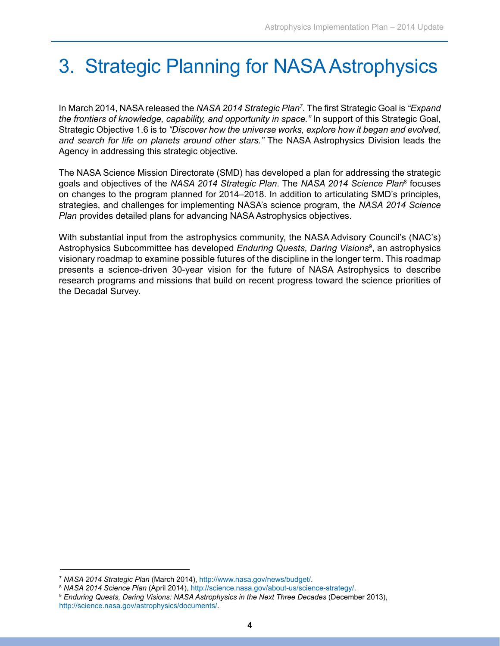# 3. Strategic Planning for NASA Astrophysics

In March 2014, NASA released the *NASA 2014 Strategic Plan7* . The first Strategic Goal is *"Expand the frontiers of knowledge, capability, and opportunity in space."* In support of this Strategic Goal, Strategic Objective 1.6 is to *"Discover how the universe works, explore how it began and evolved, and search for life on planets around other stars."* The NASA Astrophysics Division leads the Agency in addressing this strategic objective.

The NASA Science Mission Directorate (SMD) has developed a plan for addressing the strategic goals and objectives of the *NASA 2014 Strategic Plan*. The *NASA 2014 Science Plan*<sup>8</sup> focuses on changes to the program planned for 2014–2018. In addition to articulating SMD's principles, strategies, and challenges for implementing NASA's science program, the *NASA 2014 Science Plan* provides detailed plans for advancing NASA Astrophysics objectives.

With substantial input from the astrophysics community, the NASA Advisory Council's (NAC's) Astrophysics Subcommittee has developed *Enduring Quests, Daring Visions*<sup>9</sup> , an astrophysics visionary roadmap to examine possible futures of the discipline in the longer term. This roadmap presents a science-driven 30-year vision for the future of NASA Astrophysics to describe research programs and missions that build on recent progress toward the science priorities of the Decadal Survey.

<sup>7</sup> *NASA 2014 Strategic Plan* (March 2014), http://www.nasa.gov/news/budget/.

<sup>&</sup>lt;sup>9</sup> Enduring Quests, Daring Visions: NASA Astrophysics in the Next Three Decades (December 2013), <http://science.nasa.gov/astrophysics/documents/>.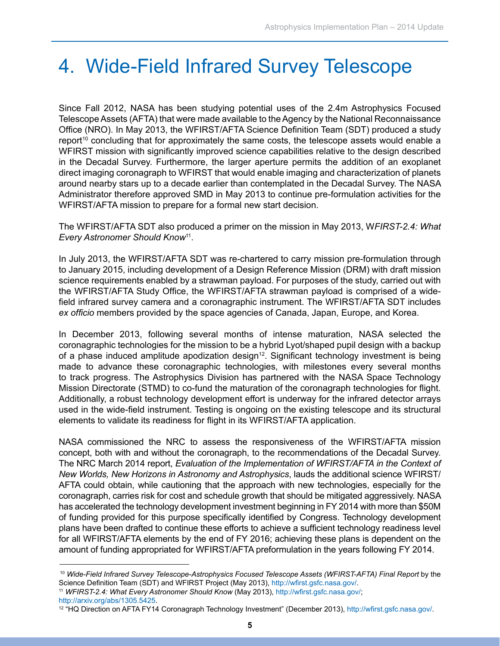### 4. Wide-Field Infrared Survey Telescope

Since Fall 2012, NASA has been studying potential uses of the 2.4m Astrophysics Focused Telescope Assets (AFTA) that were made available to the Agency by the National Reconnaissance Office (NRO). In May 2013, the WFIRST/AFTA Science Definition Team (SDT) produced a study report<sup>10</sup> concluding that for approximately the same costs, the telescope assets would enable a WFIRST mission with significantly improved science capabilities relative to the design described in the Decadal Survey. Furthermore, the larger aperture permits the addition of an exoplanet direct imaging coronagraph to WFIRST that would enable imaging and characterization of planets around nearby stars up to a decade earlier than contemplated in the Decadal Survey. The NASA Administrator therefore approved SMD in May 2013 to continue pre-formulation activities for the WFIRST/AFTA mission to prepare for a formal new start decision.

The WFIRST/AFTA SDT also produced a primer on the mission in May 2013, W*FIRST-2.4: What Every Astronomer Should Know*11.

In July 2013, the WFIRST/AFTA SDT was re-chartered to carry mission pre-formulation through to January 2015, including development of a Design Reference Mission (DRM) with draft mission science requirements enabled by a strawman payload. For purposes of the study, carried out with the WFIRST/AFTA Study Office, the WFIRST/AFTA strawman payload is comprised of a widefield infrared survey camera and a coronagraphic instrument. The WFIRST/AFTA SDT includes *ex officio* members provided by the space agencies of Canada, Japan, Europe, and Korea.

In December 2013, following several months of intense maturation, NASA selected the coronagraphic technologies for the mission to be a hybrid Lyot/shaped pupil design with a backup of a phase induced amplitude apodization design<sup>12</sup>. Significant technology investment is being made to advance these coronagraphic technologies, with milestones every several months to track progress. The Astrophysics Division has partnered with the NASA Space Technology Mission Directorate (STMD) to co-fund the maturation of the coronagraph technologies for flight. Additionally, a robust technology development effort is underway for the infrared detector arrays used in the wide-field instrument. Testing is ongoing on the existing telescope and its structural elements to validate its readiness for flight in its WFIRST/AFTA application.

NASA commissioned the NRC to assess the responsiveness of the WFIRST/AFTA mission concept, both with and without the coronagraph, to the recommendations of the Decadal Survey. The NRC March 2014 report, *Evaluation of the Implementation of WFIRST/AFTA in the Context of New Worlds, New Horizons in Astronomy and Astrophysics*, lauds the additional science WFIRST/ AFTA could obtain, while cautioning that the approach with new technologies, especially for the coronagraph, carries risk for cost and schedule growth that should be mitigated aggressively. NASA has accelerated the technology development investment beginning in FY 2014 with more than \$50M of funding provided for this purpose specifically identified by Congress. Technology development plans have been drafted to continue these efforts to achieve a sufficient technology readiness level for all WFIRST/AFTA elements by the end of FY 2016; achieving these plans is dependent on the amount of funding appropriated for WFIRST/AFTA preformulation in the years following FY 2014.

<sup>11</sup> *WFIRST-2.4: What Every Astronomer Should Know* (May 2013), http://wfirst.gsfc.nasa.gov/; http://arxiv.org/abs/1305.5425.

<sup>10</sup> *Wide-Field Infrared Survey Telescope-Astrophysics Focused Telescope Assets (WFIRST-AFTA) Final Report* by the Science Definition Team (SDT) and WFIRST Project (May 2013), http://wfirst.gsfc.nasa.gov/.

<sup>12 &</sup>quot;HQ Direction on AFTA FY14 Coronagraph Technology Investment" (December 2013), [http://wfirst.gsfc.nasa.gov/](http://science.nasa.gov/astrophysics/).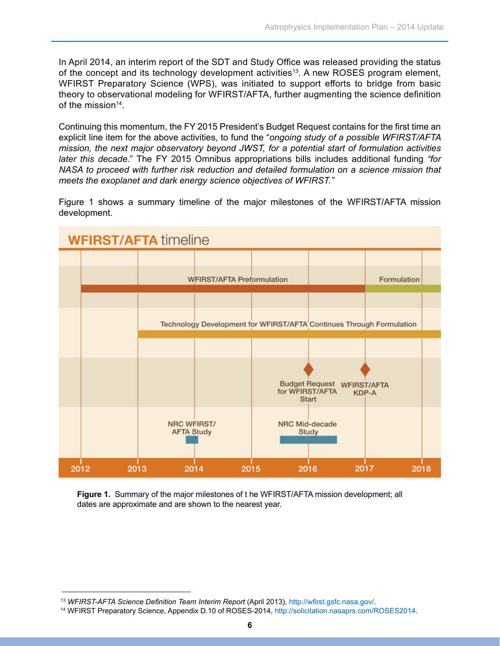In April 2014, an interim report of the SDT and Study Office was released providing the status of the concept and its technology development activities<sup>13</sup>. A new ROSES program element, WFIRST Preparatory Science (WPS), was initiated to support efforts to bridge from basic theory to observational modeling for WFIRST/AFTA, further augmenting the science definition of the mission14.

Continuing this momentum, the FY 2015 President's Budget Request contains for the first time an explicit line item for the above activities, to fund the "*ongoing study of a possible WFIRST/AFTA mission, the next major observatory beyond JWST, for a potential start of formulation activities later this decade*." The FY 2015 Omnibus appropriations bills includes additional funding *"for NASA to proceed with further risk reduction and detailed formulation on a science mission that meets the exoplanet and dark energy science objectives of WFIRST."*

Figure 1 shows a summary timeline of the major milestones of the WFIRST/AFTA mission development.



**Figure 1.** Summary of the major milestones of t he WFIRST/AFTA mission development; all dates are approximate and are shown to the nearest year.

<sup>&</sup>lt;sup>13</sup> WFIRST-AFTA Science Definition Team Interim Report (April 2013), http://wfirst.gsfc.nasa.gov/.

<sup>14</sup> WFIRST Preparatory Science, Appendix D.10 of ROSES-2014, <http://solicitation.nasaprs.com/ROSES2014>.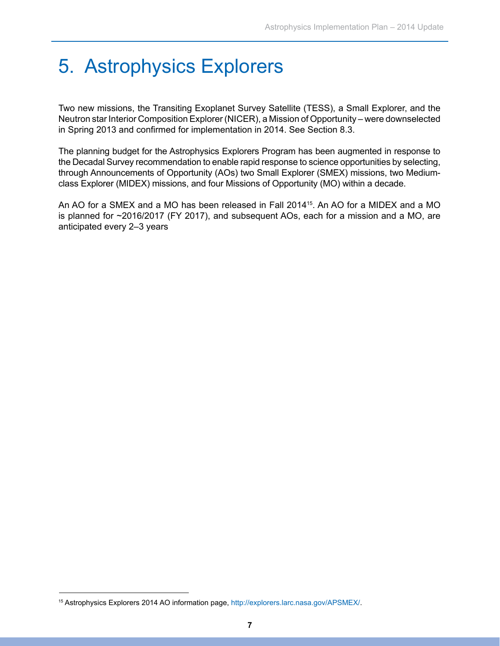# 5. Astrophysics Explorers

Two new missions, the Transiting Exoplanet Survey Satellite (TESS), a Small Explorer, and the Neutron star Interior Composition Explorer (NICER), a Mission of Opportunity – were downselected in Spring 2013 and confirmed for implementation in 2014. See Section 8.3.

The planning budget for the Astrophysics Explorers Program has been augmented in response to the Decadal Survey recommendation to enable rapid response to science opportunities by selecting, through Announcements of Opportunity (AOs) two Small Explorer (SMEX) missions, two Mediumclass Explorer (MIDEX) missions, and four Missions of Opportunity (MO) within a decade.

An AO for a SMEX and a MO has been released in Fall 201415. An AO for a MIDEX and a MO is planned for ~2016/2017 (FY 2017), and subsequent AOs, each for a mission and a MO, are anticipated every 2–3 years

<sup>15</sup> Astrophysics Explorers 2014 AO information page,<http://explorers.larc.nasa.gov/APSMEX/>[.](http://science.nasa.gov/astrophysics/)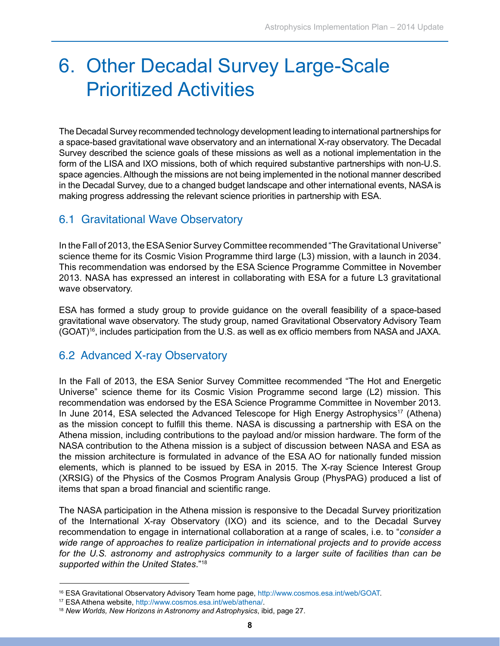### 6. Other Decadal Survey Large-Scale Prioritized Activities

The Decadal Survey recommended technology development leading to international partnerships for a space-based gravitational wave observatory and an international X-ray observatory. The Decadal Survey described the science goals of these missions as well as a notional implementation in the form of the LISA and IXO missions, both of which required substantive partnerships with non-U.S. space agencies. Although the missions are not being implemented in the notional manner described in the Decadal Survey, due to a changed budget landscape and other international events, NASA is making progress addressing the relevant science priorities in partnership with ESA.

#### 6.1 Gravitational Wave Observatory

In the Fall of 2013, the ESA Senior Survey Committee recommended "The Gravitational Universe" science theme for its Cosmic Vision Programme third large (L3) mission, with a launch in 2034. This recommendation was endorsed by the ESA Science Programme Committee in November 2013. NASA has expressed an interest in collaborating with ESA for a future L3 gravitational wave observatory.

ESA has formed a study group to provide guidance on the overall feasibility of a space-based gravitational wave observatory. The study group, named Gravitational Observatory Advisory Team (GOAT)<sup>16</sup>, includes participation from the U.S. as well as ex officio members from NASA and JAXA.

#### 6.2 Advanced X-ray Observatory

In the Fall of 2013, the ESA Senior Survey Committee recommended "The Hot and Energetic Universe" science theme for its Cosmic Vision Programme second large (L2) mission. This recommendation was endorsed by the ESA Science Programme Committee in November 2013. In June 2014, ESA selected the Advanced Telescope for High Energy Astrophysics<sup>17</sup> (Athena) as the mission concept to fulfill this theme. NASA is discussing a partnership with ESA on the Athena mission, including contributions to the payload and/or mission hardware. The form of the NASA contribution to the Athena mission is a subject of discussion between NASA and ESA as the mission architecture is formulated in advance of the ESA AO for nationally funded mission elements, which is planned to be issued by ESA in 2015. The X-ray Science Interest Group (XRSIG) of the Physics of the Cosmos Program Analysis Group (PhysPAG) produced a list of items that span a broad financial and scientific range.

The NASA participation in the Athena mission is responsive to the Decadal Survey prioritization of the International X-ray Observatory (IXO) and its science, and to the Decadal Survey recommendation to engage in international collaboration at a range of scales, i.e. to "*consider a wide range of approaches to realize participation in international projects and to provide access for the U.S. astronomy and astrophysics community to a larger suite of facilities than can be supported within the United States*."18

<sup>16</sup> ESA Gravitational Observatory Advisory Team home page, http://www.cosmos.esa.int/web/GOAT.

<sup>17</sup> ESA Athena website, http://www.cosmos.esa.int/web/athena/.

<sup>18</sup> *New Worlds, New Horizons in Astronomy and Astrophysics*, ibid, page 27.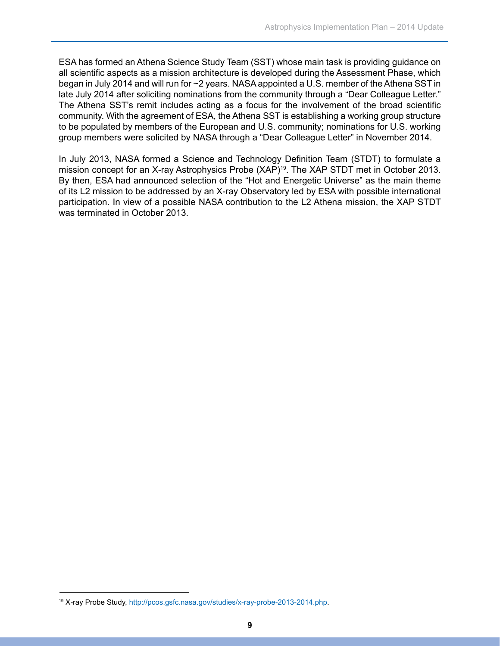ESA has formed an Athena Science Study Team (SST) whose main task is providing guidance on all scientific aspects as a mission architecture is developed during the Assessment Phase, which began in July 2014 and will run for ~2 years. NASA appointed a U.S. member of the Athena SST in late July 2014 after soliciting nominations from the community through a "Dear Colleague Letter." The Athena SST's remit includes acting as a focus for the involvement of the broad scientific community. With the agreement of ESA, the Athena SST is establishing a working group structure to be populated by members of the European and U.S. community; nominations for U.S. working group members were solicited by NASA through a "Dear Colleague Letter" in November 2014.

In July 2013, NASA formed a Science and Technology Definition Team (STDT) to formulate a mission concept for an X-ray Astrophysics Probe (XAP)19. The XAP STDT met in October 2013. By then, ESA had announced selection of the "Hot and Energetic Universe" as the main theme of its L2 mission to be addressed by an X-ray Observatory led by ESA with possible international participation. In view of a possible NASA contribution to the L2 Athena mission, the XAP STDT was terminated in October 2013.

<sup>19</sup> X-ray Probe Study,<http://pcos.gsfc.nasa.gov/studies/x-ray-probe-2013-2014.php>[.](http://science.nasa.gov/astrophysics/)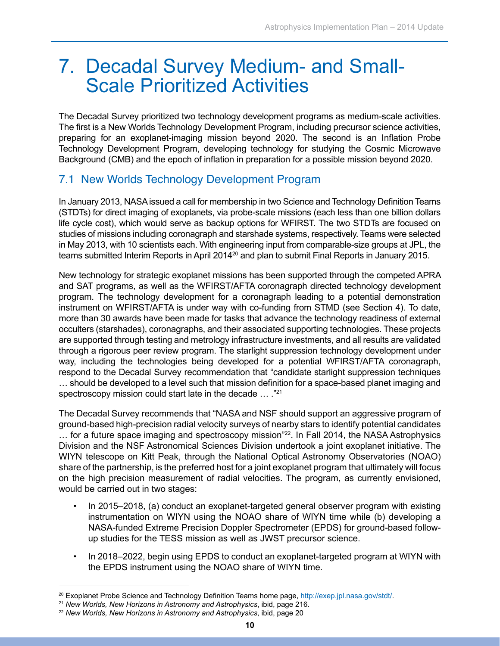### 7. Decadal Survey Medium- and Small- Scale Prioritized Activities

The Decadal Survey prioritized two technology development programs as medium-scale activities. The first is a New Worlds Technology Development Program, including precursor science activities, preparing for an exoplanet-imaging mission beyond 2020. The second is an Inflation Probe Technology Development Program, developing technology for studying the Cosmic Microwave Background (CMB) and the epoch of inflation in preparation for a possible mission beyond 2020.

#### 7.1 New Worlds Technology Development Program

In January 2013, NASA issued a call for membership in two Science and Technology Definition Teams (STDTs) for direct imaging of exoplanets, via probe-scale missions (each less than one billion dollars life cycle cost), which would serve as backup options for WFIRST. The two STDTs are focused on studies of missions including coronagraph and starshade systems, respectively. Teams were selected in May 2013, with 10 scientists each. With engineering input from comparable-size groups at JPL, the teams submitted Interim Reports in April 2014<sup>20</sup> and plan to submit Final Reports in January 2015.

New technology for strategic exoplanet missions has been supported through the competed APRA and SAT programs, as well as the WFIRST/AFTA coronagraph directed technology development program. The technology development for a coronagraph leading to a potential demonstration instrument on WFIRST/AFTA is under way with co-funding from STMD (see Section 4). To date, more than 30 awards have been made for tasks that advance the technology readiness of external occulters (starshades), coronagraphs, and their associated supporting technologies. These projects are supported through testing and metrology infrastructure investments, and all results are validated through a rigorous peer review program. The starlight suppression technology development under way, including the technologies being developed for a potential WFIRST/AFTA coronagraph, respond to the Decadal Survey recommendation that "candidate starlight suppression techniques … should be developed to a level such that mission definition for a space-based planet imaging and spectroscopy mission could start late in the decade … ."21

The Decadal Survey recommends that "NASA and NSF should support an aggressive program of ground-based high-precision radial velocity surveys of nearby stars to identify potential candidates ... for a future space imaging and spectroscopy mission"<sup>22</sup>. In Fall 2014, the NASA Astrophysics Division and the NSF Astronomical Sciences Division undertook a joint exoplanet initiative. The WIYN telescope on Kitt Peak, through the National Optical Astronomy Observatories (NOAO) share of the partnership, is the preferred host for a joint exoplanet program that ultimately will focus on the high precision measurement of radial velocities. The program, as currently envisioned, would be carried out in two stages:

- In 2015–2018, (a) conduct an exoplanet-targeted general observer program with existing instrumentation on WIYN using the NOAO share of WIYN time while (b) developing a NASA-funded Extreme Precision Doppler Spectrometer (EPDS) for ground-based followup studies for the TESS mission as well as JWST precursor science.
- In 2018–2022, begin using EPDS to conduct an exoplanet-targeted program at WIYN with the EPDS instrument using the NOAO share of WIYN time. •

<sup>20</sup> Exoplanet Probe Science and Technology Definition Teams home page, http://exep.jpl.nasa.gov/stdt/.

<sup>21</sup> *New Worlds, New Horizons in Astronomy and Astrophysics*, ibid, page 216.

<sup>22</sup> *New Worlds, New Horizons in Astronomy and Astrophysics*, ibid, page 20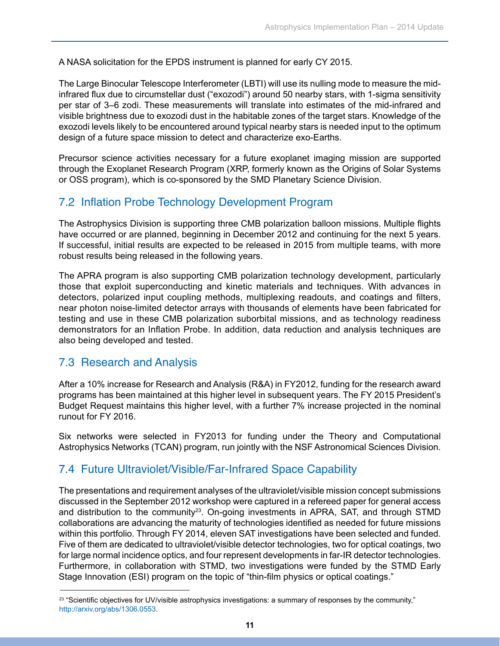A NASA solicitation for the EPDS instrument is planned for early CY 2015.

The Large Binocular Telescope Interferometer (LBTI) will use its nulling mode to measure the midinfrared flux due to circumstellar dust ("exozodi") around 50 nearby stars, with 1-sigma sensitivity per star of 3–6 zodi. These measurements will translate into estimates of the mid-infrared and visible brightness due to exozodi dust in the habitable zones of the target stars. Knowledge of the exozodi levels likely to be encountered around typical nearby stars is needed input to the optimum design of a future space mission to detect and characterize exo-Earths.

Precursor science activities necessary for a future exoplanet imaging mission are supported through the Exoplanet Research Program (XRP, formerly known as the Origins of Solar Systems or OSS program), which is co-sponsored by the SMD Planetary Science Division.

#### 7.2 Inflation Probe Technology Development Program

The Astrophysics Division is supporting three CMB polarization balloon missions. Multiple flights have occurred or are planned, beginning in December 2012 and continuing for the next 5 years. If successful, initial results are expected to be released in 2015 from multiple teams, with more robust results being released in the following years.

The APRA program is also supporting CMB polarization technology development, particularly those that exploit superconducting and kinetic materials and techniques. With advances in detectors, polarized input coupling methods, multiplexing readouts, and coatings and filters, near photon noise-limited detector arrays with thousands of elements have been fabricated for testing and use in these CMB polarization suborbital missions, and as technology readiness demonstrators for an Inflation Probe. In addition, data reduction and analysis techniques are also being developed and tested.

#### 7.3 Research and Analysis

After a 10% increase for Research and Analysis (R&A) in FY2012, funding for the research award programs has been maintained at this higher level in subsequent years. The FY 2015 President's Budget Request maintains this higher level, with a further 7% increase projected in the nominal runout for FY 2016.

Six networks were selected in FY2013 for funding under the Theory and Computational Astrophysics Networks (TCAN) program, run jointly with the NSF Astronomical Sciences Division.

#### 7.4 Future Ultraviolet/Visible/Far-Infrared Space Capability

The presentations and requirement analyses of the ultraviolet/visible mission concept submissions discussed in the September 2012 workshop were captured in a refereed paper for general access and distribution to the community<sup>23</sup>. On-going investments in APRA, SAT, and through STMD collaborations are advancing the maturity of technologies identified as needed for future missions within this portfolio. Through FY 2014, eleven SAT investigations have been selected and funded. Five of them are dedicated to ultraviolet/visible detector technologies, two for optical coatings, two for large normal incidence optics, and four represent developments in far-IR detector technologies. Furthermore, in collaboration with STMD, two investigations were funded by the STMD Early Stage Innovation (ESI) program on the topic of "thin-film physics or optical coatings."

 $23$  "Scientific objectives for UV/visible astrophysics investigations: a summary of responses by the community," http://arxiv.org/abs/1306.0553.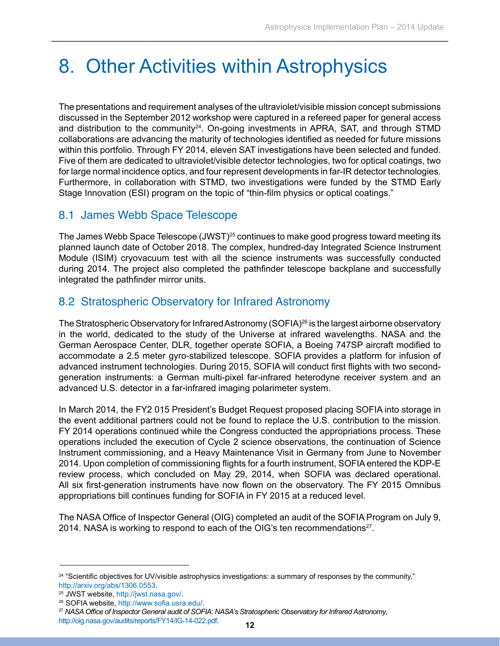### 8. Other Activities within Astrophysics

The presentations and requirement analyses of the ultraviolet/visible mission concept submissions discussed in the September 2012 workshop were captured in a refereed paper for general access and distribution to the community<sup>24</sup>. On-going investments in APRA, SAT, and through STMD collaborations are advancing the maturity of technologies identified as needed for future missions within this portfolio. Through FY 2014, eleven SAT investigations have been selected and funded. Five of them are dedicated to ultraviolet/visible detector technologies, two for optical coatings, two for large normal incidence optics, and four represent developments in far-IR detector technologies. Furthermore, in collaboration with STMD, two investigations were funded by the STMD Early Stage Innovation (ESI) program on the topic of "thin-film physics or optical coatings."

#### 8.1 James Webb Space Telescope

The James Webb Space Telescope (JWST)<sup>25</sup> continues to make good progress toward meeting its planned launch date of October 2018. The complex, hundred-day Integrated Science Instrument Module (ISIM) cryovacuum test with all the science instruments was successfully conducted during 2014. The project also completed the pathfinder telescope backplane and successfully integrated the pathfinder mirror units.

#### 8.2 Stratospheric Observatory for Infrared Astronomy

The Stratospheric Observatory for Infrared Astronomy (SOFIA)<sup>26</sup> is the largest airborne observatory in the world, dedicated to the study of the Universe at infrared wavelengths. NASA and the German Aerospace Center, DLR, together operate SOFIA, a Boeing 747SP aircraft modified to accommodate a 2.5 meter gyro-stabilized telescope. SOFIA provides a platform for infusion of advanced instrument technologies. During 2015, SOFIA will conduct first flights with two secondgeneration instruments: a German multi-pixel far-infrared heterodyne receiver system and an advanced U.S. detector in a far-infrared imaging polarimeter system.

In March 2014, the FY2 015 President's Budget Request proposed placing SOFIA into storage in the event additional partners could not be found to replace the U.S. contribution to the mission. FY 2014 operations continued while the Congress conducted the appropriations process. These operations included the execution of Cycle 2 science observations, the continuation of Science Instrument commissioning, and a Heavy Maintenance Visit in Germany from June to November 2014. Upon completion of commissioning flights for a fourth instrument, SOFIA entered the KDP-E review process, which concluded on May 29, 2014, when SOFIA was declared operational. All six first-generation instruments have now flown on the observatory. The FY 2015 Omnibus appropriations bill continues funding for SOFIA in FY 2015 at a reduced level.

The NASA Office of Inspector General (OIG) completed an audit of the SOFIA Program on July 9, 2014. NASA is working to respond to each of the OIG's ten recommendations<sup>27</sup>.

<sup>&</sup>lt;sup>24</sup> "Scientific objectives for UV/visible astrophysics investigations: a summary of responses by the community," http://arxiv.org/abs/1306.0553.

<sup>25</sup> JWST website, http://jwst.nasa.gov/.

<sup>26</sup> SOFIA website, http://www.sofia.usra.edu/.

<sup>27</sup> *NASA Office of Inspector General audit of SOFIA: NASA's Stratospheric Observatory for Infrared Astronomy*, <http://oig.nasa.gov/audits/reports/FY14/IG-14-022.pdf>. **<sup>12</sup>**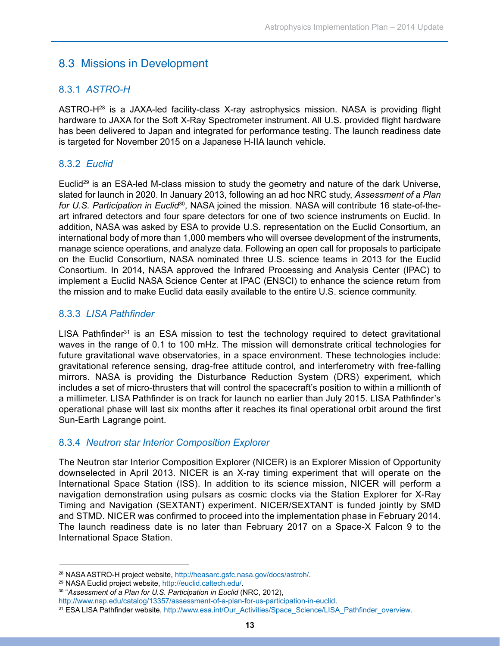#### 8.3 Missions in Development

#### 8.3.1 *ASTRO-H*

ASTRO-H28 is a JAXA-led facility-class X-ray astrophysics mission. NASA is providing flight hardware to JAXA for the Soft X-Ray Spectrometer instrument. All U.S. provided flight hardware has been delivered to Japan and integrated for performance testing. The launch readiness date is targeted for November 2015 on a Japanese H-IIA launch vehicle.

#### 8.3.2 *Euclid*

Euclid<sup>29</sup> is an ESA-led M-class mission to study the geometry and nature of the dark Universe, slated for launch in 2020. In January 2013, following an ad hoc NRC study, *Assessment of a Plan for U.S. Participation in Euclid*30, NASA joined the mission. NASA will contribute 16 state-of-theart infrared detectors and four spare detectors for one of two science instruments on Euclid. In addition, NASA was asked by ESA to provide U.S. representation on the Euclid Consortium, an international body of more than 1,000 members who will oversee development of the instruments, manage science operations, and analyze data. Following an open call for proposals to participate on the Euclid Consortium, NASA nominated three U.S. science teams in 2013 for the Euclid Consortium. In 2014, NASA approved the Infrared Processing and Analysis Center (IPAC) to implement a Euclid NASA Science Center at IPAC (ENSCI) to enhance the science return from the mission and to make Euclid data easily available to the entire U.S. science community.

#### 8.3.3 *LISA Pathfinder*

LISA Pathfinder $31$  is an ESA mission to test the technology required to detect gravitational waves in the range of 0.1 to 100 mHz. The mission will demonstrate critical technologies for future gravitational wave observatories, in a space environment. These technologies include: gravitational reference sensing, drag-free attitude control, and interferometry with free-falling mirrors. NASA is providing the Disturbance Reduction System (DRS) experiment, which includes a set of micro-thrusters that will control the spacecraft's position to within a millionth of a millimeter. LISA Pathfinder is on track for launch no earlier than July 2015. LISA Pathfinder's operational phase will last six months after it reaches its final operational orbit around the first Sun-Earth Lagrange point.

#### 8.3.4 *Neutron star Interior Composition Explorer*

The Neutron star Interior Composition Explorer (NICER) is an Explorer Mission of Opportunity downselected in April 2013. NICER is an X-ray timing experiment that will operate on the International Space Station (ISS). In addition to its science mission, NICER will perform a navigation demonstration using pulsars as cosmic clocks via the Station Explorer for X-Ray Timing and Navigation (SEXTANT) experiment. NICER/SEXTANT is funded jointly by SMD and STMD. NICER was confirmed to proceed into the implementation phase in February 2014. The launch readiness date is no later than February 2017 on a Space-X Falcon 9 to the International Space Station.

<sup>28</sup> NASA ASTRO-H project website, http://heasarc.gsfc.nasa.gov/docs/astroh/.

<sup>29</sup> NASA Euclid project website, http://euclid.caltech.edu/.

<sup>&</sup>lt;sup>30</sup> "Assessment of a Plan for U.S. Participation in Euclid (NRC, 2012),

http://www.nap.edu/catalog/13357/assessment-of-a-plan-for-us-participation-in-euclid.

<sup>31</sup> ESA LISA Pathfinder website, http://www.esa.int/Our\_Activities/Space\_Science/LISA\_Pathfinder\_overview.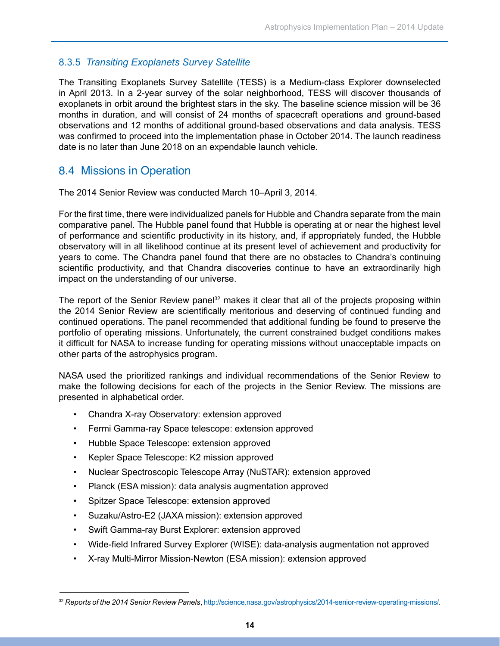#### 8.3.5 *Transiting Exoplanets Survey Satellite*

The Transiting Exoplanets Survey Satellite (TESS) is a Medium-class Explorer downselected in April 2013. In a 2-year survey of the solar neighborhood, TESS will discover thousands of exoplanets in orbit around the brightest stars in the sky. The baseline science mission will be 36 months in duration, and will consist of 24 months of spacecraft operations and ground-based observations and 12 months of additional ground-based observations and data analysis. TESS was confirmed to proceed into the implementation phase in October 2014. The launch readiness date is no later than June 2018 on an expendable launch vehicle.

#### 8.4 Missions in Operation

The 2014 Senior Review was conducted March 10–April 3, 2014.

For the first time, there were individualized panels for Hubble and Chandra separate from the main comparative panel. The Hubble panel found that Hubble is operating at or near the highest level of performance and scientific productivity in its history, and, if appropriately funded, the Hubble observatory will in all likelihood continue at its present level of achievement and productivity for years to come. The Chandra panel found that there are no obstacles to Chandra's continuing scientific productivity, and that Chandra discoveries continue to have an extraordinarily high impact on the understanding of our universe.

The report of the Senior Review panel<sup>32</sup> makes it clear that all of the projects proposing within the 2014 Senior Review are scientifically meritorious and deserving of continued funding and continued operations. The panel recommended that additional funding be found to preserve the portfolio of operating missions. Unfortunately, the current constrained budget conditions makes it difficult for NASA to increase funding for operating missions without unacceptable impacts on other parts of the astrophysics program.

NASA used the prioritized rankings and individual recommendations of the Senior Review to make the following decisions for each of the projects in the Senior Review. The missions are presented in alphabetical order.

- Chandra X-ray Observatory: extension approved
- Fermi Gamma-ray Space telescope: extension approved •
- Hubble Space Telescope: extension approved •
- Kepler Space Telescope: K2 mission approved
- Nuclear Spectroscopic Telescope Array (NuSTAR): extension approved
- Planck (ESA mission): data analysis augmentation approved •
- Spitzer Space Telescope: extension approved
- Suzaku/Astro-E2 (JAXA mission): extension approved •
- Swift Gamma-ray Burst Explorer: extension approved •
- Wide-field Infrared Survey Explorer (WISE): data-analysis augmentation not approved
- X-ray Multi-Mirror Mission-Newton (ESA mission): extension approved •

<sup>32</sup> *Reports of the 2014 Senior Review Panels*,<http://science.nasa.gov/astrophysics/2014-senior-review-operating-missions/>[.](http://science.nasa.gov/astrophysics/)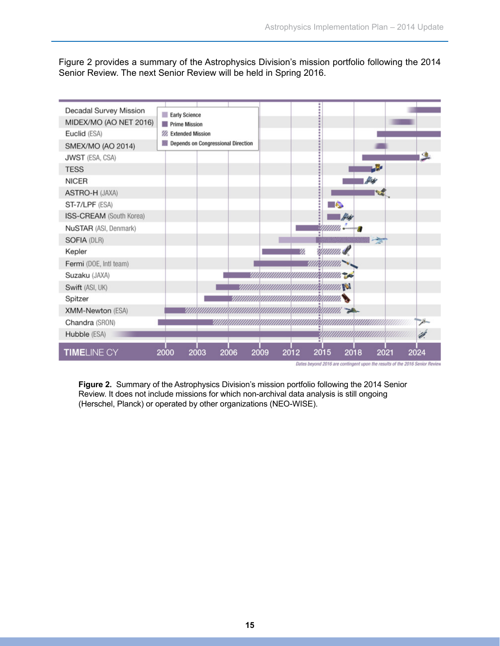Figure 2 provides a summary of the Astrophysics Division's mission portfolio following the 2014 Senior Review. The next Senior Review will be held in Spring 2016.



**Figure 2.** Summary of the Astrophysics Division's mission portfolio following the 2014 Senior Review. It does not include missions for which non-archival data analysis is still ongoing (Herschel, Planck) or operated by other organizations (NEO-WISE).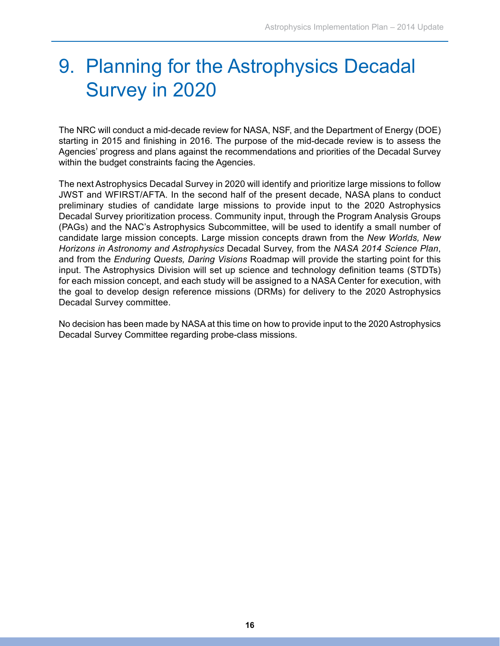### 9. Planning for the Astrophysics Decadal Survey in 2020

The NRC will conduct a mid-decade review for NASA, NSF, and the Department of Energy (DOE) starting in 2015 and finishing in 2016. The purpose of the mid-decade review is to assess the Agencies' progress and plans against the recommendations and priorities of the Decadal Survey within the budget constraints facing the Agencies.

The next Astrophysics Decadal Survey in 2020 will identify and prioritize large missions to follow JWST and WFIRST/AFTA. In the second half of the present decade, NASA plans to conduct preliminary studies of candidate large missions to provide input to the 2020 Astrophysics Decadal Survey prioritization process. Community input, through the Program Analysis Groups (PAGs) and the NAC's Astrophysics Subcommittee, will be used to identify a small number of candidate large mission concepts. Large mission concepts drawn from the *New Worlds, New Horizons in Astronomy and Astrophysics* Decadal Survey, from the *NASA 2014 Science Plan*, and from the *Enduring Quests, Daring Visions* Roadmap will provide the starting point for this input. The Astrophysics Division will set up science and technology definition teams (STDTs) for each mission concept, and each study will be assigned to a NASA Center for execution, with the goal to develop design reference missions (DRMs) for delivery to the 2020 Astrophysics Decadal Survey committee.

No decision has been made by NASA at this time on how to provide input to the 2020 Astrophysics Decadal Survey Committee regarding probe-class missions.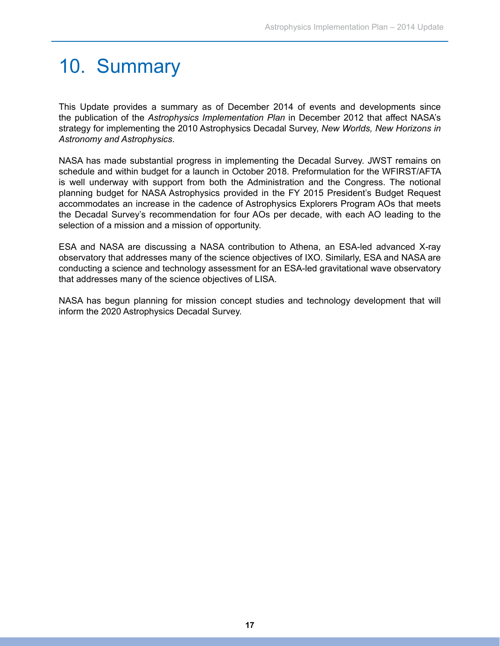### 10. Summary

This Update provides a summary as of December 2014 of events and developments since the publication of the *Astrophysics Implementation Plan* in December 2012 that affect NASA's strategy for implementing the 2010 Astrophysics Decadal Survey, *New Worlds, New Horizons in Astronomy and Astrophysics*.

NASA has made substantial progress in implementing the Decadal Survey. JWST remains on schedule and within budget for a launch in October 2018. Preformulation for the WFIRST/AFTA is well underway with support from both the Administration and the Congress. The notional planning budget for NASA Astrophysics provided in the FY 2015 President's Budget Request accommodates an increase in the cadence of Astrophysics Explorers Program AOs that meets the Decadal Survey's recommendation for four AOs per decade, with each AO leading to the selection of a mission and a mission of opportunity.

ESA and NASA are discussing a NASA contribution to Athena, an ESA-led advanced X-ray observatory that addresses many of the science objectives of IXO. Similarly, ESA and NASA are conducting a science and technology assessment for an ESA-led gravitational wave observatory that addresses many of the science objectives of LISA.

NASA has begun planning for mission concept studies and technology development that will inform the 2020 Astrophysics Decadal Survey.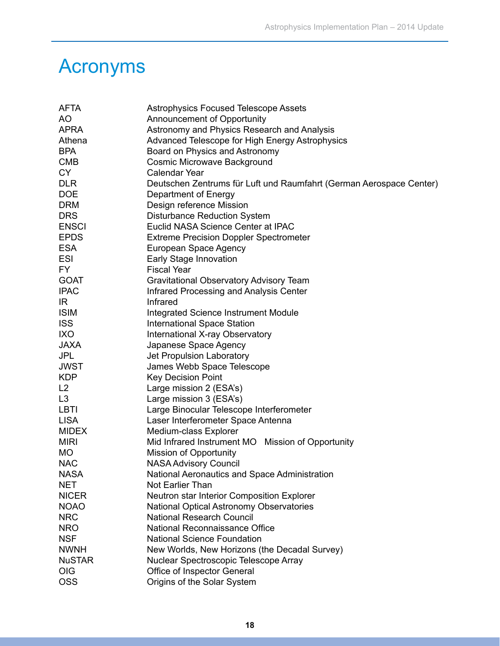### Acronyms

| <b>AFTA</b>   | <b>Astrophysics Focused Telescope Assets</b>                        |  |  |
|---------------|---------------------------------------------------------------------|--|--|
| AO            | Announcement of Opportunity                                         |  |  |
| <b>APRA</b>   | Astronomy and Physics Research and Analysis                         |  |  |
| Athena        | Advanced Telescope for High Energy Astrophysics                     |  |  |
| <b>BPA</b>    | Board on Physics and Astronomy                                      |  |  |
| <b>CMB</b>    | <b>Cosmic Microwave Background</b>                                  |  |  |
| <b>CY</b>     | <b>Calendar Year</b>                                                |  |  |
| <b>DLR</b>    | Deutschen Zentrums für Luft und Raumfahrt (German Aerospace Center) |  |  |
| <b>DOE</b>    | Department of Energy                                                |  |  |
| <b>DRM</b>    | Design reference Mission                                            |  |  |
| <b>DRS</b>    | <b>Disturbance Reduction System</b>                                 |  |  |
| <b>ENSCI</b>  | Euclid NASA Science Center at IPAC                                  |  |  |
| <b>EPDS</b>   | <b>Extreme Precision Doppler Spectrometer</b>                       |  |  |
| <b>ESA</b>    | European Space Agency                                               |  |  |
| <b>ESI</b>    | Early Stage Innovation                                              |  |  |
| FY.           | <b>Fiscal Year</b>                                                  |  |  |
| <b>GOAT</b>   | <b>Gravitational Observatory Advisory Team</b>                      |  |  |
| <b>IPAC</b>   | Infrared Processing and Analysis Center                             |  |  |
| IR.           | Infrared                                                            |  |  |
| <b>ISIM</b>   | Integrated Science Instrument Module                                |  |  |
| <b>ISS</b>    | <b>International Space Station</b>                                  |  |  |
| <b>IXO</b>    | International X-ray Observatory                                     |  |  |
| <b>JAXA</b>   | Japanese Space Agency                                               |  |  |
| <b>JPL</b>    | Jet Propulsion Laboratory                                           |  |  |
| <b>JWST</b>   | James Webb Space Telescope                                          |  |  |
| <b>KDP</b>    | <b>Key Decision Point</b>                                           |  |  |
| L2            | Large mission 2 (ESA's)                                             |  |  |
| L3            | Large mission 3 (ESA's)                                             |  |  |
| <b>LBTI</b>   | Large Binocular Telescope Interferometer                            |  |  |
| <b>LISA</b>   | Laser Interferometer Space Antenna                                  |  |  |
| <b>MIDEX</b>  | Medium-class Explorer                                               |  |  |
| <b>MIRI</b>   | Mid Infrared Instrument MO Mission of Opportunity                   |  |  |
| <b>MO</b>     | <b>Mission of Opportunity</b>                                       |  |  |
| <b>NAC</b>    | <b>NASA Advisory Council</b>                                        |  |  |
| <b>NASA</b>   | National Aeronautics and Space Administration                       |  |  |
| <b>NET</b>    | Not Earlier Than                                                    |  |  |
| <b>NICER</b>  | Neutron star Interior Composition Explorer                          |  |  |
| <b>NOAO</b>   | National Optical Astronomy Observatories                            |  |  |
| <b>NRC</b>    | <b>National Research Council</b>                                    |  |  |
| <b>NRO</b>    | National Reconnaissance Office                                      |  |  |
| <b>NSF</b>    | <b>National Science Foundation</b>                                  |  |  |
| <b>NWNH</b>   | New Worlds, New Horizons (the Decadal Survey)                       |  |  |
| <b>NuSTAR</b> | Nuclear Spectroscopic Telescope Array                               |  |  |
| <b>OIG</b>    | Office of Inspector General                                         |  |  |
| <b>OSS</b>    | Origins of the Solar System                                         |  |  |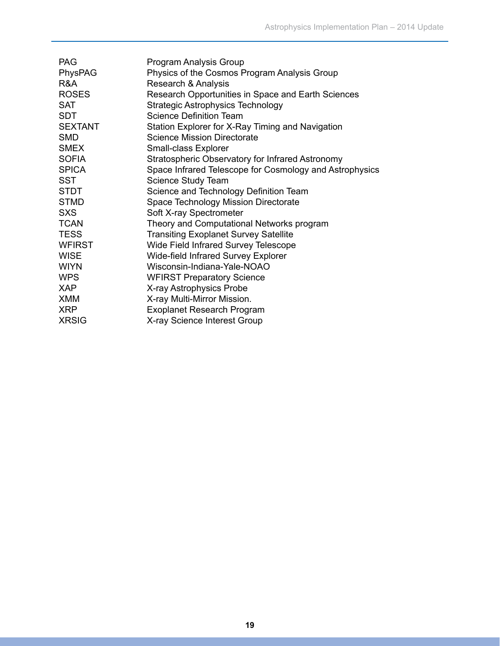| <b>PAG</b>     | Program Analysis Group                                  |
|----------------|---------------------------------------------------------|
| PhysPAG        | Physics of the Cosmos Program Analysis Group            |
| R&A            | Research & Analysis                                     |
| <b>ROSES</b>   | Research Opportunities in Space and Earth Sciences      |
| <b>SAT</b>     | <b>Strategic Astrophysics Technology</b>                |
| <b>SDT</b>     | <b>Science Definition Team</b>                          |
| <b>SEXTANT</b> | Station Explorer for X-Ray Timing and Navigation        |
| <b>SMD</b>     | <b>Science Mission Directorate</b>                      |
| <b>SMEX</b>    | Small-class Explorer                                    |
| <b>SOFIA</b>   | Stratospheric Observatory for Infrared Astronomy        |
| <b>SPICA</b>   | Space Infrared Telescope for Cosmology and Astrophysics |
| <b>SST</b>     | Science Study Team                                      |
| <b>STDT</b>    | Science and Technology Definition Team                  |
| <b>STMD</b>    | Space Technology Mission Directorate                    |
| <b>SXS</b>     | Soft X-ray Spectrometer                                 |
| <b>TCAN</b>    | Theory and Computational Networks program               |
| <b>TESS</b>    | <b>Transiting Exoplanet Survey Satellite</b>            |
| <b>WFIRST</b>  | Wide Field Infrared Survey Telescope                    |
| <b>WISE</b>    | <b>Wide-field Infrared Survey Explorer</b>              |
| <b>WIYN</b>    | Wisconsin-Indiana-Yale-NOAO                             |
| <b>WPS</b>     | <b>WFIRST Preparatory Science</b>                       |
| <b>XAP</b>     | X-ray Astrophysics Probe                                |
| <b>XMM</b>     | X-ray Multi-Mirror Mission.                             |
| <b>XRP</b>     | <b>Exoplanet Research Program</b>                       |
| <b>XRSIG</b>   | X-ray Science Interest Group                            |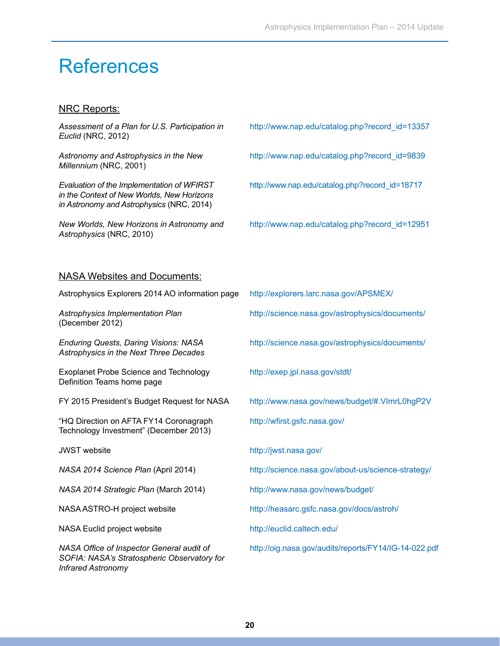### References

#### NRC Reports:

*Assessment of a Plan for U.S. Participation in* [h](http://sites.nationalacademies.org/BPA/BPA_048755)ttp://www.nap.edu/catalog.php?record\_id=13357 *Euclid* (NRC, 2012) *Astronomy and Astrophysics in the New* [http://www.nap.edu/catalog.php?record\\_id=9839](http://www.nap.edu/catalog.php?record_id=9839) *Millennium* (NRC, 2001) *Evaluation of the Implementation of WFIRST* http://www.nap.edu/catalog.php?record\_id=18717 *in the Context of New Worlds, New Horizons in Astronomy and Astrophysics* (NRC, 2014) *New Worlds, New Horizons in Astronomy and* [http://www.nap.edu/catalog.php?record\\_id=12951](http://www.nap.edu/catalog.php?record_id=12951) *Astrophysics* (NRC, 2010) NASA Websites and Documents: Astrophysics Explorers 2014 AO information page [http://explorers.larc.nasa.gov/APSMEX/](http://science.nasa.gov/about-us/science-strategy/) Astrophysics Implementation Plan [http://science.nasa.gov/astrophysics/documents/](http://www.nasa.gov/news/budget/) (December 2012) *Enduring Quests, Daring Visions: NASA* http://science.nasa.gov/astrophysics/documents/ *Astrophysics in the Next Three Decade[s](http://nasascience.nasa.gov/astrophysics/2012-senior-review/
)* Exoplanet Probe Science and Technology [http://exep.jpl.nasa.gov/stdt/](http://www.nasa.gov/news/budget/) Definition Teams home page FY 2015 President's Budget Request for NASA http://www.nasa.gov/news/budget/#.VImrL0hgP2V "HQ Direction on AFTA FY14 Coronagraph [http://](http://www.gao.gov/products/GAO-12-207SP)wfirst.gsfc.nasa.gov/ Technology Investment" (December 2013) JWST website [http://](http://www.nsf.gov/mps/ast/aaac.jsp)jwst.nasa.gov/ *NASA 2014 Science Plan* (April 2014) [http://](http://science.nasa.gov/science-committee/subcommittees/nac-astrophysics-subcommittee/analysis-groups/)science.nasa.gov/about-us/science-strategy/ *NASA 2014 Strategic Plan* (March 2014) <http://www.nasa.gov/news/budget/> NASA ASTRO-H project website <http://heasarc.gsfc.nasa.gov/docs/astroh/> NASA Euclid project website <http://euclid.caltech.edu/> *NASA Office of Inspector General audit of* http://oig.nasa.gov/audits/reports/FY14/IG-14-022.pdf

*SOFIA: NASA's St[ra](http://pcos.gsfc.nasa.gov/studies/gravitational-wave-mission.php)tospheric Observatory for*

*Infrared Astronomy*